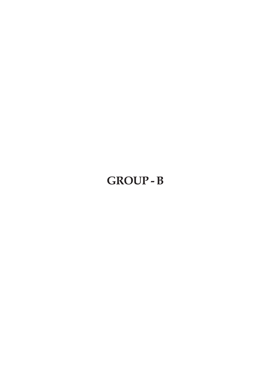# **GROUP - B**